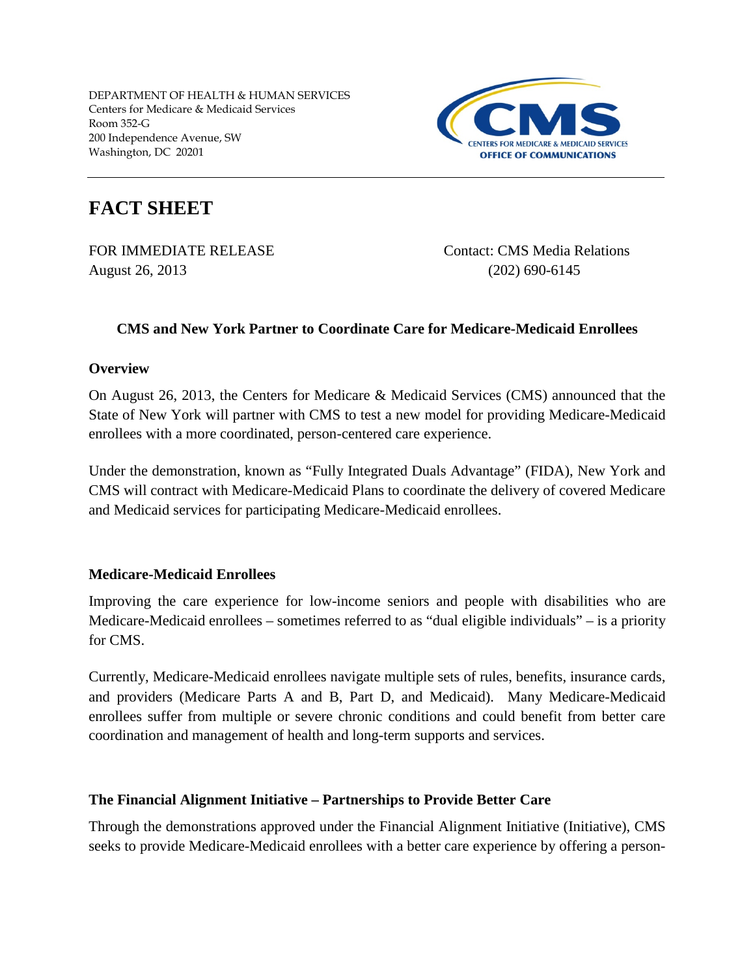

# **FACT SHEET**

August 26, 2013 (202) 690-6145

FOR IMMEDIATE RELEASE Contact: CMS Media Relations

# **CMS and New York Partner to Coordinate Care for Medicare-Medicaid Enrollees**

## **Overview**

On August 26, 2013, the Centers for Medicare & Medicaid Services (CMS) announced that the State of New York will partner with CMS to test a new model for providing Medicare-Medicaid enrollees with a more coordinated, person-centered care experience.

Under the demonstration, known as "Fully Integrated Duals Advantage" (FIDA), New York and CMS will contract with Medicare-Medicaid Plans to coordinate the delivery of covered Medicare and Medicaid services for participating Medicare-Medicaid enrollees.

# **Medicare-Medicaid Enrollees**

Improving the care experience for low-income seniors and people with disabilities who are Medicare-Medicaid enrollees – sometimes referred to as "dual eligible individuals" – is a priority for CMS.

Currently, Medicare-Medicaid enrollees navigate multiple sets of rules, benefits, insurance cards, and providers (Medicare Parts A and B, Part D, and Medicaid). Many Medicare-Medicaid enrollees suffer from multiple or severe chronic conditions and could benefit from better care coordination and management of health and long-term supports and services.

# **The Financial Alignment Initiative – Partnerships to Provide Better Care**

Through the demonstrations approved under the Financial Alignment Initiative (Initiative), CMS seeks to provide Medicare-Medicaid enrollees with a better care experience by offering a person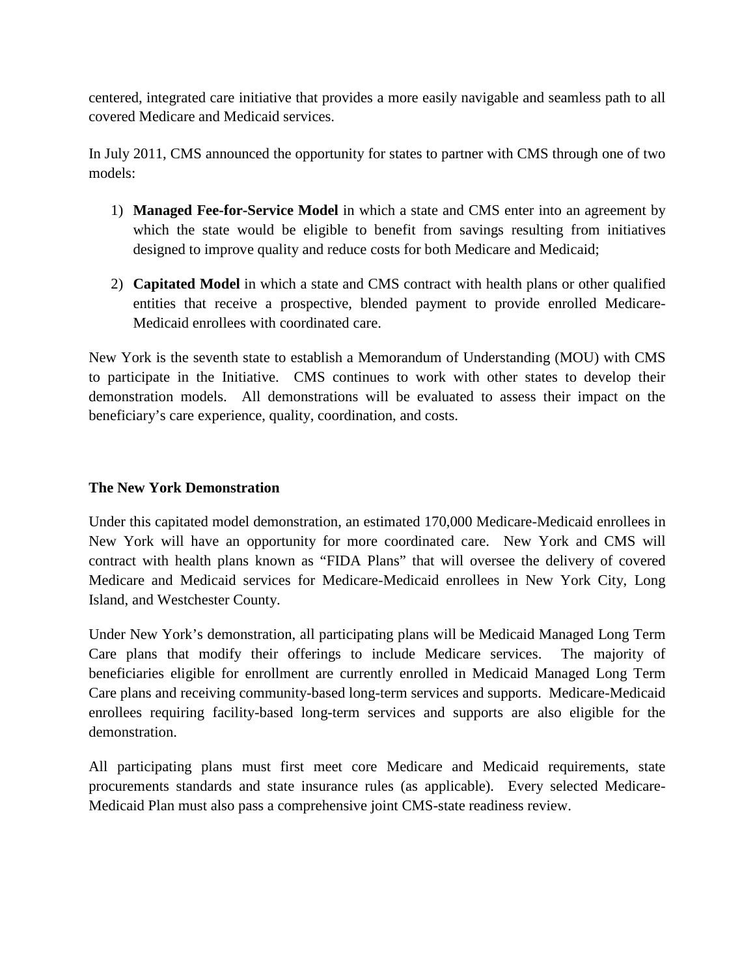centered, integrated care initiative that provides a more easily navigable and seamless path to all covered Medicare and Medicaid services.

In July 2011, CMS announced the opportunity for states to partner with CMS through one of two models:

- 1) **Managed Fee-for-Service Model** in which a state and CMS enter into an agreement by which the state would be eligible to benefit from savings resulting from initiatives designed to improve quality and reduce costs for both Medicare and Medicaid;
- 2) **Capitated Model** in which a state and CMS contract with health plans or other qualified entities that receive a prospective, blended payment to provide enrolled Medicare-Medicaid enrollees with coordinated care.

New York is the seventh state to establish a Memorandum of Understanding (MOU) with CMS to participate in the Initiative. CMS continues to work with other states to develop their demonstration models. All demonstrations will be evaluated to assess their impact on the beneficiary's care experience, quality, coordination, and costs.

## **The New York Demonstration**

Under this capitated model demonstration, an estimated 170,000 Medicare-Medicaid enrollees in New York will have an opportunity for more coordinated care. New York and CMS will contract with health plans known as "FIDA Plans" that will oversee the delivery of covered Medicare and Medicaid services for Medicare-Medicaid enrollees in New York City, Long Island, and Westchester County.

Under New York's demonstration, all participating plans will be Medicaid Managed Long Term Care plans that modify their offerings to include Medicare services. The majority of beneficiaries eligible for enrollment are currently enrolled in Medicaid Managed Long Term Care plans and receiving community-based long-term services and supports. Medicare-Medicaid enrollees requiring facility-based long-term services and supports are also eligible for the demonstration.

All participating plans must first meet core Medicare and Medicaid requirements, state procurements standards and state insurance rules (as applicable). Every selected Medicare-Medicaid Plan must also pass a comprehensive joint CMS-state readiness review.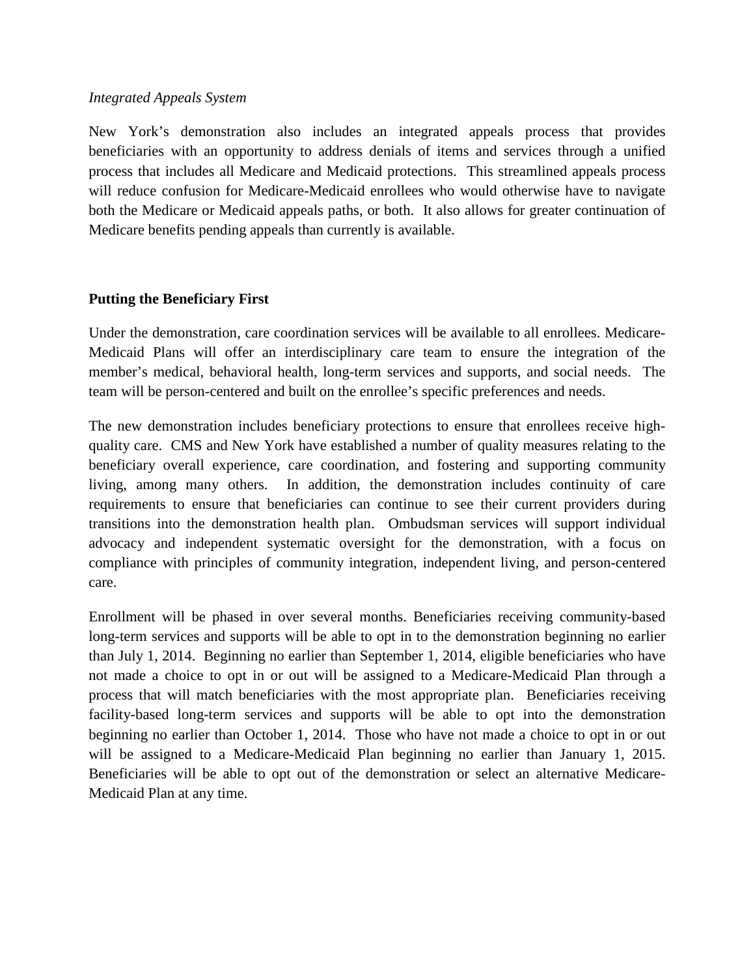#### *Integrated Appeals System*

New York's demonstration also includes an integrated appeals process that provides beneficiaries with an opportunity to address denials of items and services through a unified process that includes all Medicare and Medicaid protections. This streamlined appeals process will reduce confusion for Medicare-Medicaid enrollees who would otherwise have to navigate both the Medicare or Medicaid appeals paths, or both. It also allows for greater continuation of Medicare benefits pending appeals than currently is available.

## **Putting the Beneficiary First**

Under the demonstration, care coordination services will be available to all enrollees. Medicare-Medicaid Plans will offer an interdisciplinary care team to ensure the integration of the member's medical, behavioral health, long-term services and supports, and social needs. The team will be person-centered and built on the enrollee's specific preferences and needs.

The new demonstration includes beneficiary protections to ensure that enrollees receive highquality care. CMS and New York have established a number of quality measures relating to the beneficiary overall experience, care coordination, and fostering and supporting community living, among many others. In addition, the demonstration includes continuity of care requirements to ensure that beneficiaries can continue to see their current providers during transitions into the demonstration health plan. Ombudsman services will support individual advocacy and independent systematic oversight for the demonstration, with a focus on compliance with principles of community integration, independent living, and person-centered care.

Enrollment will be phased in over several months. Beneficiaries receiving community-based long-term services and supports will be able to opt in to the demonstration beginning no earlier than July 1, 2014. Beginning no earlier than September 1, 2014, eligible beneficiaries who have not made a choice to opt in or out will be assigned to a Medicare-Medicaid Plan through a process that will match beneficiaries with the most appropriate plan. Beneficiaries receiving facility-based long-term services and supports will be able to opt into the demonstration beginning no earlier than October 1, 2014. Those who have not made a choice to opt in or out will be assigned to a Medicare-Medicaid Plan beginning no earlier than January 1, 2015. Beneficiaries will be able to opt out of the demonstration or select an alternative Medicare-Medicaid Plan at any time.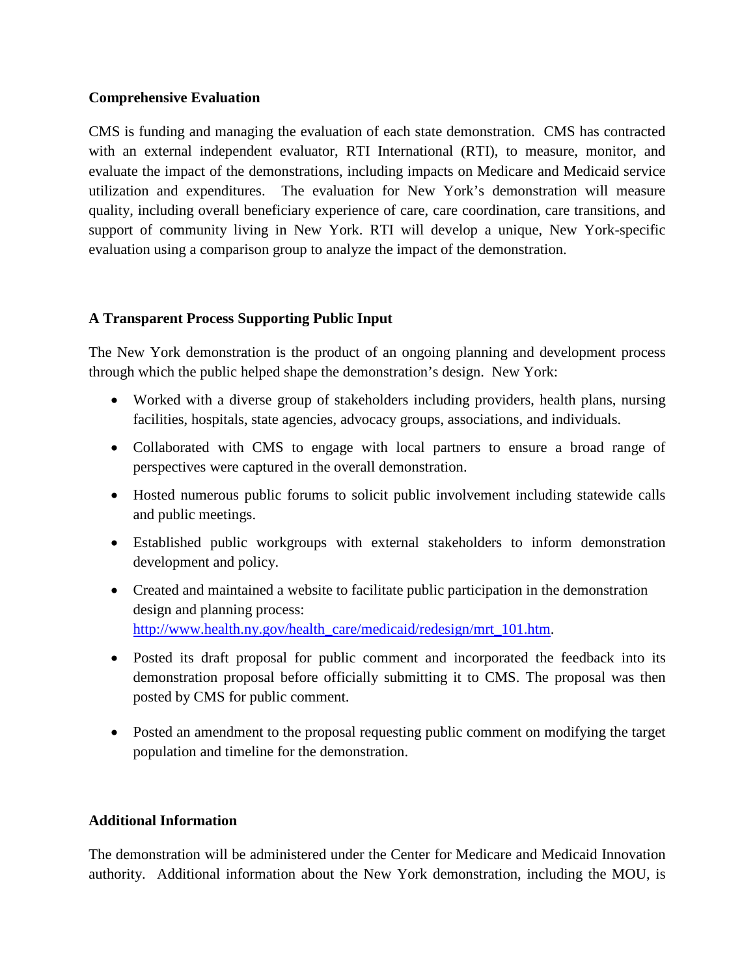## **Comprehensive Evaluation**

CMS is funding and managing the evaluation of each state demonstration. CMS has contracted with an external independent evaluator, RTI International (RTI), to measure, monitor, and evaluate the impact of the demonstrations, including impacts on Medicare and Medicaid service utilization and expenditures. The evaluation for New York's demonstration will measure quality, including overall beneficiary experience of care, care coordination, care transitions, and support of community living in New York. RTI will develop a unique, New York-specific evaluation using a comparison group to analyze the impact of the demonstration.

## **A Transparent Process Supporting Public Input**

The New York demonstration is the product of an ongoing planning and development process through which the public helped shape the demonstration's design. New York:

- Worked with a diverse group of stakeholders including providers, health plans, nursing facilities, hospitals, state agencies, advocacy groups, associations, and individuals.
- Collaborated with CMS to engage with local partners to ensure a broad range of perspectives were captured in the overall demonstration.
- Hosted numerous public forums to solicit public involvement including statewide calls and public meetings.
- Established public workgroups with external stakeholders to inform demonstration development and policy.
- Created and maintained a website to facilitate public participation in the demonstration design and planning process: [http://www.health.ny.gov/health\\_care/medicaid/redesign/mrt\\_101.htm.](http://www.health.ny.gov/health_care/medicaid/redesign/mrt_101.htm)
- Posted its draft proposal for public comment and incorporated the feedback into its demonstration proposal before officially submitting it to CMS. The proposal was then posted by CMS for public comment.
- Posted an amendment to the proposal requesting public comment on modifying the target population and timeline for the demonstration.

#### **Additional Information**

The demonstration will be administered under the Center for Medicare and Medicaid Innovation authority. Additional information about the New York demonstration, including the MOU, is